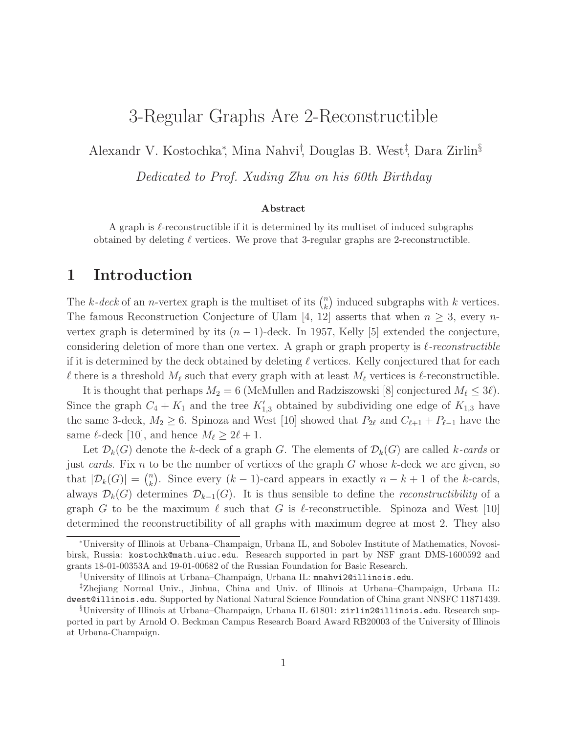# 3-Regular Graphs Are 2-Reconstructible

Alexandr V. Kostochka<sup>∗</sup> , Mina Nahvi† , Douglas B. West‡ , Dara Zirlin§

Dedicated to Prof. Xuding Zhu on his 60th Birthday

### Abstract

A graph is  $\ell$ -reconstructible if it is determined by its multiset of induced subgraphs obtained by deleting  $\ell$  vertices. We prove that 3-regular graphs are 2-reconstructible.

## 1 Introduction

The k-deck of an n-vertex graph is the multiset of its  $\binom{n}{k}$  $\binom{n}{k}$  induced subgraphs with k vertices. The famous Reconstruction Conjecture of Ulam [4, 12] asserts that when  $n \geq 3$ , every nvertex graph is determined by its  $(n - 1)$ -deck. In 1957, Kelly [5] extended the conjecture, considering deletion of more than one vertex. A graph or graph property is  $\ell$ -reconstructible if it is determined by the deck obtained by deleting  $\ell$  vertices. Kelly conjectured that for each  $\ell$  there is a threshold  $M_{\ell}$  such that every graph with at least  $M_{\ell}$  vertices is  $\ell$ -reconstructible.

It is thought that perhaps  $M_2 = 6$  (McMullen and Radziszowski [8] conjectured  $M_\ell \leq 3\ell$ ). Since the graph  $C_4 + K_1$  and the tree  $K'_{1,3}$  obtained by subdividing one edge of  $K_{1,3}$  have the same 3-deck,  $M_2 \geq 6$ . Spinoza and West [10] showed that  $P_{2\ell}$  and  $C_{\ell+1} + P_{\ell-1}$  have the same  $\ell$ -deck [10], and hence  $M_{\ell} \geq 2\ell + 1$ .

Let  $\mathcal{D}_k(G)$  denote the k-deck of a graph G. The elements of  $\mathcal{D}_k(G)$  are called k-cards or just cards. Fix  $n$  to be the number of vertices of the graph  $G$  whose  $k$ -deck we are given, so that  $|\mathcal{D}_k(G)| = \binom{n}{k}$ <sup>n</sup><sub>k</sub>). Since every  $(k-1)$ -card appears in exactly  $n - k + 1$  of the k-cards, always  $\mathcal{D}_k(G)$  determines  $\mathcal{D}_{k-1}(G)$ . It is thus sensible to define the *reconstructibility* of a graph G to be the maximum  $\ell$  such that G is  $\ell$ -reconstructible. Spinoza and West [10] determined the reconstructibility of all graphs with maximum degree at most 2. They also

<sup>∗</sup>University of Illinois at Urbana–Champaign, Urbana IL, and Sobolev Institute of Mathematics, Novosibirsk, Russia: kostochk@math.uiuc.edu. Research supported in part by NSF grant DMS-1600592 and grants 18-01-00353A and 19-01-00682 of the Russian Foundation for Basic Research.

<sup>†</sup>University of Illinois at Urbana–Champaign, Urbana IL: mnahvi2@illinois.edu.

<sup>‡</sup>Zhejiang Normal Univ., Jinhua, China and Univ. of Illinois at Urbana–Champaign, Urbana IL: dwest@illinois.edu. Supported by National Natural Science Foundation of China grant NNSFC 11871439.

<sup>§</sup>University of Illinois at Urbana–Champaign, Urbana IL 61801: zirlin2@illinois.edu. Research supported in part by Arnold O. Beckman Campus Research Board Award RB20003 of the University of Illinois at Urbana-Champaign.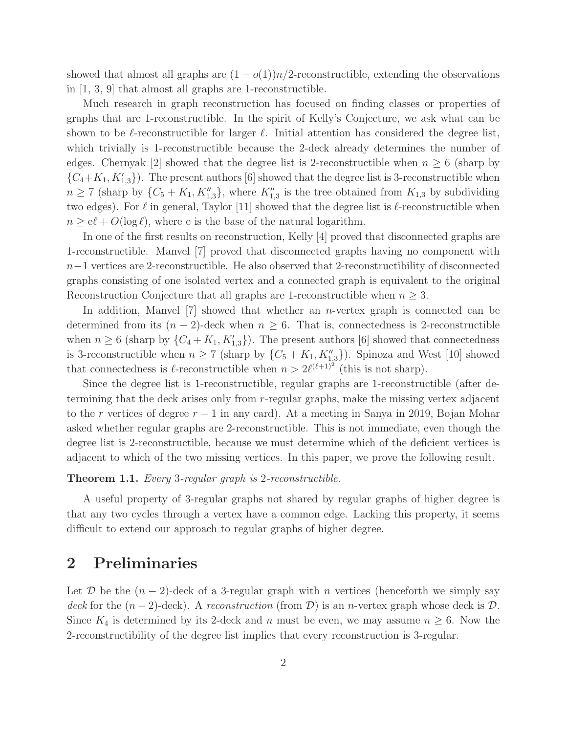showed that almost all graphs are  $(1 - o(1))n/2$ -reconstructible, extending the observations in [1, 3, 9] that almost all graphs are 1-reconstructible.

Much research in graph reconstruction has focused on finding classes or properties of graphs that are 1-reconstructible. In the spirit of Kelly's Conjecture, we ask what can be shown to be  $\ell$ -reconstructible for larger  $\ell$ . Initial attention has considered the degree list, which trivially is 1-reconstructible because the 2-deck already determines the number of edges. Chernyak [2] showed that the degree list is 2-reconstructible when  $n \geq 6$  (sharp by  $\{C_4 + K_1, K'_{1,3}\}\)$ . The present authors [6] showed that the degree list is 3-reconstructible when  $n \geq 7$  (sharp by  $\{C_5 + K_1, K_{1,3}''\}$ , where  $K_{1,3}''$  is the tree obtained from  $K_{1,3}$  by subdividing two edges). For  $\ell$  in general, Taylor [11] showed that the degree list is  $\ell$ -reconstructible when  $n \geq e\ell + O(\log \ell)$ , where e is the base of the natural logarithm.

In one of the first results on reconstruction, Kelly [4] proved that disconnected graphs are 1-reconstructible. Manvel [7] proved that disconnected graphs having no component with n−1 vertices are 2-reconstructible. He also observed that 2-reconstructibility of disconnected graphs consisting of one isolated vertex and a connected graph is equivalent to the original Reconstruction Conjecture that all graphs are 1-reconstructible when  $n \geq 3$ .

In addition, Manvel  $[7]$  showed that whether an *n*-vertex graph is connected can be determined from its  $(n-2)$ -deck when  $n \geq 6$ . That is, connectedness is 2-reconstructible when  $n \geq 6$  (sharp by  $\{C_4 + K_1, K'_{1,3}\}\)$ . The present authors [6] showed that connectedness is 3-reconstructible when  $n \geq 7$  (sharp by  $\{C_5 + K_1, K_{1,3}''\}$ ). Spinoza and West [10] showed that connectedness is  $\ell$ -reconstructible when  $n > 2\ell^{(\ell+1)^2}$  (this is not sharp).

Since the degree list is 1-reconstructible, regular graphs are 1-reconstructible (after determining that the deck arises only from r-regular graphs, make the missing vertex adjacent to the r vertices of degree  $r - 1$  in any card). At a meeting in Sanya in 2019, Bojan Mohar asked whether regular graphs are 2-reconstructible. This is not immediate, even though the degree list is 2-reconstructible, because we must determine which of the deficient vertices is adjacent to which of the two missing vertices. In this paper, we prove the following result.

### Theorem 1.1. Every 3-regular graph is 2-reconstructible.

A useful property of 3-regular graphs not shared by regular graphs of higher degree is that any two cycles through a vertex have a common edge. Lacking this property, it seems difficult to extend our approach to regular graphs of higher degree.

## 2 Preliminaries

Let D be the  $(n-2)$ -deck of a 3-regular graph with n vertices (henceforth we simply say deck for the  $(n-2)$ -deck). A reconstruction (from D) is an n-vertex graph whose deck is D. Since  $K_4$  is determined by its 2-deck and n must be even, we may assume  $n \geq 6$ . Now the 2-reconstructibility of the degree list implies that every reconstruction is 3-regular.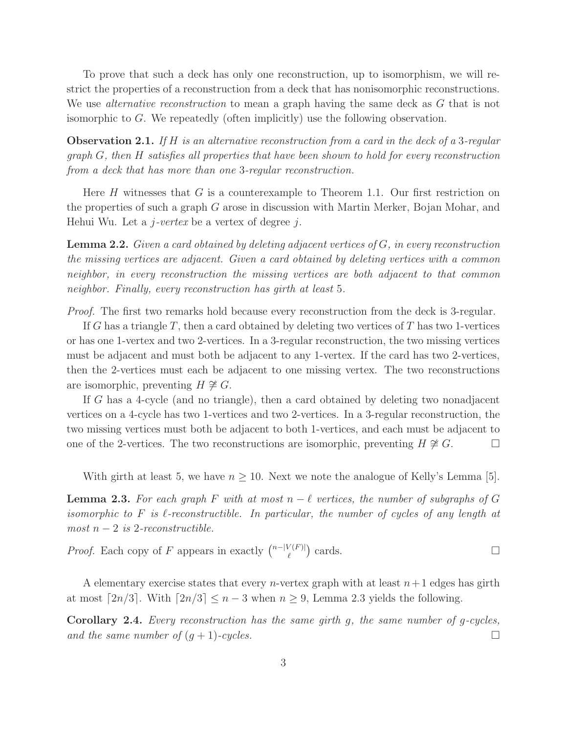To prove that such a deck has only one reconstruction, up to isomorphism, we will restrict the properties of a reconstruction from a deck that has nonisomorphic reconstructions. We use *alternative reconstruction* to mean a graph having the same deck as G that is not isomorphic to  $G$ . We repeatedly (often implicitly) use the following observation.

**Observation 2.1.** If H is an alternative reconstruction from a card in the deck of a 3-regular graph G, then H satisfies all properties that have been shown to hold for every reconstruction from a deck that has more than one 3-regular reconstruction.

Here  $H$  witnesses that  $G$  is a counterexample to Theorem 1.1. Our first restriction on the properties of such a graph G arose in discussion with Martin Merker, Bojan Mohar, and Hehui Wu. Let a  $j$ -vertex be a vertex of degree  $j$ .

**Lemma 2.2.** Given a card obtained by deleting adjacent vertices of  $G$ , in every reconstruction the missing vertices are adjacent. Given a card obtained by deleting vertices with a common neighbor, in every reconstruction the missing vertices are both adjacent to that common neighbor. Finally, every reconstruction has girth at least 5.

Proof. The first two remarks hold because every reconstruction from the deck is 3-regular.

If G has a triangle T, then a card obtained by deleting two vertices of T has two 1-vertices or has one 1-vertex and two 2-vertices. In a 3-regular reconstruction, the two missing vertices must be adjacent and must both be adjacent to any 1-vertex. If the card has two 2-vertices, then the 2-vertices must each be adjacent to one missing vertex. The two reconstructions are isomorphic, preventing  $H \not\cong G$ .

If G has a 4-cycle (and no triangle), then a card obtained by deleting two nonadjacent vertices on a 4-cycle has two 1-vertices and two 2-vertices. In a 3-regular reconstruction, the two missing vertices must both be adjacent to both 1-vertices, and each must be adjacent to one of the 2-vertices. The two reconstructions are isomorphic, preventing  $H \not\cong G$ .  $\Box$ 

With girth at least 5, we have  $n \geq 10$ . Next we note the analogue of Kelly's Lemma [5].

**Lemma 2.3.** For each graph F with at most  $n - \ell$  vertices, the number of subgraphs of G isomorphic to  $F$  is  $\ell$ -reconstructible. In particular, the number of cycles of any length at  $most\ n-2\ is\ 2-reconstructible.$ 

*Proof.* Each copy of F appears in exactly  $\binom{n-|V(F)|}{\ell}$  $\left(\begin{matrix} V(F) \\ \ell \end{matrix}\right)$  cards.

A elementary exercise states that every *n*-vertex graph with at least  $n+1$  edges has girth at most  $\lceil 2n/3 \rceil$ . With  $\lceil 2n/3 \rceil \leq n-3$  when  $n \geq 9$ , Lemma 2.3 yields the following.

Corollary 2.4. Every reconstruction has the same girth g, the same number of g-cycles, and the same number of  $(g + 1)$ -cycles.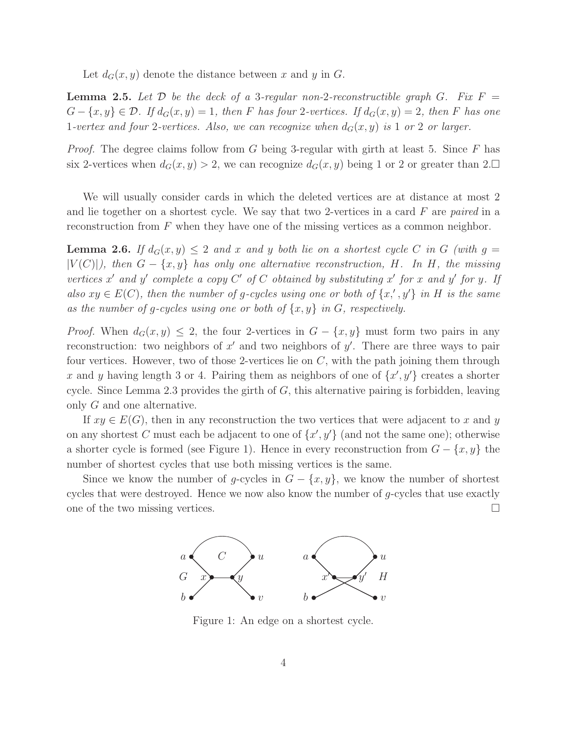Let  $d_G(x, y)$  denote the distance between x and y in G.

**Lemma 2.5.** Let D be the deck of a 3-regular non-2-reconstructible graph G. Fix  $F =$  $G - \{x, y\} \in \mathcal{D}$ . If  $d_G(x, y) = 1$ , then F has four 2-vertices. If  $d_G(x, y) = 2$ , then F has one 1-vertex and four 2-vertices. Also, we can recognize when  $d_G(x, y)$  is 1 or 2 or larger.

*Proof.* The degree claims follow from G being 3-regular with girth at least 5. Since F has six 2-vertices when  $d_G(x, y) > 2$ , we can recognize  $d_G(x, y)$  being 1 or 2 or greater than 2.

We will usually consider cards in which the deleted vertices are at distance at most 2 and lie together on a shortest cycle. We say that two 2-vertices in a card  $F$  are paired in a reconstruction from  $F$  when they have one of the missing vertices as a common neighbor.

**Lemma 2.6.** If  $d_G(x, y) \leq 2$  and x and y both lie on a shortest cycle C in G (with  $q =$  $|V(C)|$ , then  $G - \{x, y\}$  has only one alternative reconstruction, H. In H, the missing vertices x' and y' complete a copy  $C'$  of  $C$  obtained by substituting x' for x and y' for y. If also  $xy \in E(C)$ , then the number of g-cycles using one or both of  $\{x', y'\}$  in H is the same as the number of g-cycles using one or both of  $\{x, y\}$  in G, respectively.

*Proof.* When  $d_G(x, y) \leq 2$ , the four 2-vertices in  $G - \{x, y\}$  must form two pairs in any reconstruction: two neighbors of  $x'$  and two neighbors of  $y'$ . There are three ways to pair four vertices. However, two of those 2-vertices lie on  $C$ , with the path joining them through x and y having length 3 or 4. Pairing them as neighbors of one of  $\{x', y'\}$  creates a shorter cycle. Since Lemma 2.3 provides the girth of  $G$ , this alternative pairing is forbidden, leaving only G and one alternative.

If  $xy \in E(G)$ , then in any reconstruction the two vertices that were adjacent to x and y on any shortest C must each be adjacent to one of  $\{x', y'\}$  (and not the same one); otherwise a shorter cycle is formed (see Figure 1). Hence in every reconstruction from  $G - \{x, y\}$  the number of shortest cycles that use both missing vertices is the same.

Since we know the number of g-cycles in  $G - \{x, y\}$ , we know the number of shortest cycles that were destroyed. Hence we now also know the number of  $q$ -cycles that use exactly one of the two missing vertices.



Figure 1: An edge on a shortest cycle.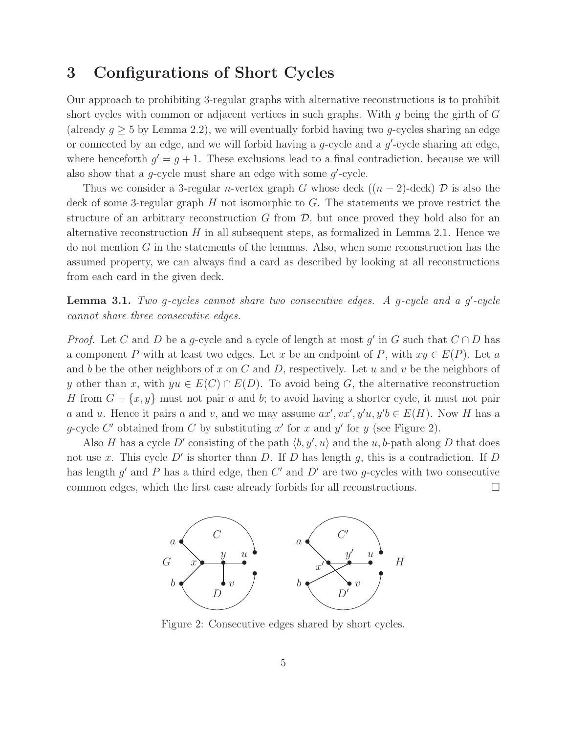## 3 Configurations of Short Cycles

Our approach to prohibiting 3-regular graphs with alternative reconstructions is to prohibit short cycles with common or adjacent vertices in such graphs. With  $q$  being the girth of  $G$ (already  $g \geq 5$  by Lemma 2.2), we will eventually forbid having two g-cycles sharing an edge or connected by an edge, and we will forbid having a  $g$ -cycle and a  $g'$ -cycle sharing an edge, where henceforth  $g' = g + 1$ . These exclusions lead to a final contradiction, because we will also show that a  $g$ -cycle must share an edge with some  $g'$ -cycle.

Thus we consider a 3-regular n-vertex graph G whose deck  $((n-2)$ -deck) D is also the deck of some 3-regular graph  $H$  not isomorphic to  $G$ . The statements we prove restrict the structure of an arbitrary reconstruction  $G$  from  $\mathcal{D}$ , but once proved they hold also for an alternative reconstruction  $H$  in all subsequent steps, as formalized in Lemma 2.1. Hence we do not mention  $G$  in the statements of the lemmas. Also, when some reconstruction has the assumed property, we can always find a card as described by looking at all reconstructions from each card in the given deck.

**Lemma 3.1.** Two g-cycles cannot share two consecutive edges. A g-cycle and a g'-cycle cannot share three consecutive edges.

*Proof.* Let C and D be a g-cycle and a cycle of length at most g' in G such that  $C \cap D$  has a component P with at least two edges. Let x be an endpoint of P, with  $xy \in E(P)$ . Let a and b be the other neighbors of x on C and D, respectively. Let u and v be the neighbors of y other than x, with  $yu \in E(C) \cap E(D)$ . To avoid being G, the alternative reconstruction H from  $G - \{x, y\}$  must not pair a and b; to avoid having a shorter cycle, it must not pair a and u. Hence it pairs a and v, and we may assume  $ax', vx', y'u, y'b \in E(H)$ . Now H has a g-cycle C' obtained from C by substituting  $x'$  for x and  $y'$  for y (see Figure 2).

Also H has a cycle D' consisting of the path  $\langle b, y', u \rangle$  and the u, b-path along D that does not use x. This cycle  $D'$  is shorter than D. If D has length g, this is a contradiction. If D has length  $g'$  and  $P$  has a third edge, then  $C'$  and  $D'$  are two g-cycles with two consecutive common edges, which the first case already forbids for all reconstructions.



Figure 2: Consecutive edges shared by short cycles.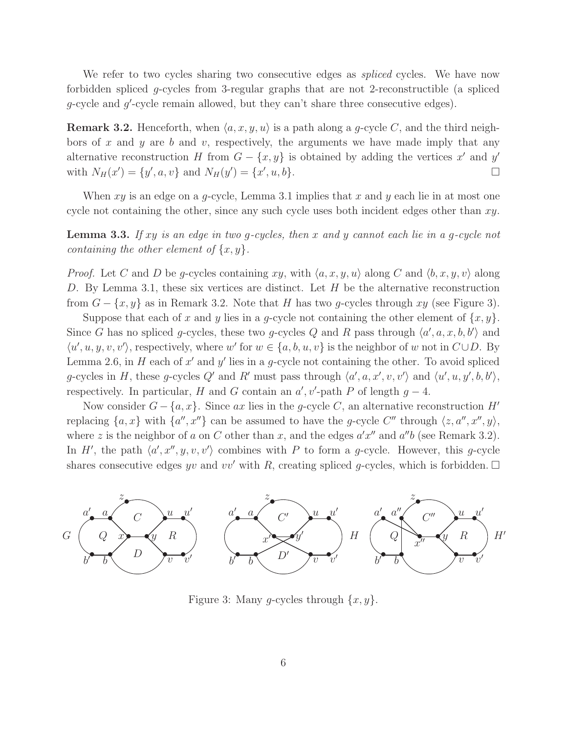We refer to two cycles sharing two consecutive edges as *spliced* cycles. We have now forbidden spliced g-cycles from 3-regular graphs that are not 2-reconstructible (a spliced g-cycle and g'-cycle remain allowed, but they can't share three consecutive edges).

**Remark 3.2.** Henceforth, when  $\langle a, x, y, u \rangle$  is a path along a g-cycle C, and the third neighbors of x and y are b and v, respectively, the arguments we have made imply that any alternative reconstruction H from  $G - \{x, y\}$  is obtained by adding the vertices x' and y' with  $N_H(x') = \{y', a, v\}$  and  $N_H(y') = \{x', u, b\}.$ 

When  $xy$  is an edge on a q-cycle, Lemma 3.1 implies that x and y each lie in at most one cycle not containing the other, since any such cycle uses both incident edges other than  $xy$ .

**Lemma 3.3.** If xy is an edge in two g-cycles, then x and y cannot each lie in a g-cycle not containing the other element of  $\{x, y\}$ .

*Proof.* Let C and D be g-cycles containing xy, with  $\langle a, x, y, u \rangle$  along C and  $\langle b, x, y, v \rangle$  along D. By Lemma 3.1, these six vertices are distinct. Let  $H$  be the alternative reconstruction from  $G - \{x, y\}$  as in Remark 3.2. Note that H has two g-cycles through xy (see Figure 3).

Suppose that each of x and y lies in a g-cycle not containing the other element of  $\{x, y\}$ . Since G has no spliced g-cycles, these two g-cycles Q and R pass through  $\langle a', a, x, b, b' \rangle$  and  $\langle u', u, y, v, v' \rangle$ , respectively, where w' for  $w \in \{a, b, u, v\}$  is the neighbor of w not in  $C \cup D$ . By Lemma 2.6, in H each of  $x'$  and  $y'$  lies in a g-cycle not containing the other. To avoid spliced g-cycles in H, these g-cycles Q' and R' must pass through  $\langle a', a, x', v, v' \rangle$  and  $\langle u', u, y', b, b' \rangle$ , respectively. In particular, H and G contain an  $a'$ , v'-path P of length  $g - 4$ .

Now consider  $G - \{a, x\}$ . Since ax lies in the g-cycle C, an alternative reconstruction H' replacing  $\{a, x\}$  with  $\{a'', x''\}$  can be assumed to have the g-cycle C'' through  $\langle z, a'', x'', y \rangle$ , where z is the neighbor of a on C other than x, and the edges  $a'x''$  and  $a''b$  (see Remark 3.2). In H', the path  $\langle a', x'', y, v, v' \rangle$  combines with P to form a g-cycle. However, this g-cycle shares consecutive edges yv and vv' with R, creating spliced g-cycles, which is forbidden.  $\Box$ 



Figure 3: Many g-cycles through  $\{x, y\}$ .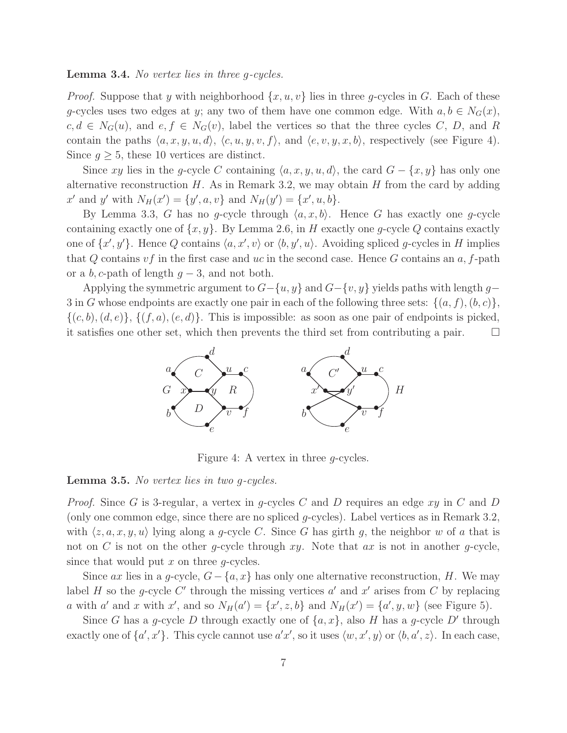#### Lemma 3.4. No vertex lies in three g-cycles.

*Proof.* Suppose that y with neighborhood  $\{x, u, v\}$  lies in three g-cycles in G. Each of these g-cycles uses two edges at y; any two of them have one common edge. With  $a, b \in N_G(x)$ ,  $c, d \in N_G(u)$ , and  $e, f \in N_G(v)$ , label the vertices so that the three cycles C, D, and R contain the paths  $\langle a, x, y, u, d \rangle$ ,  $\langle c, u, y, v, f \rangle$ , and  $\langle e, v, y, x, b \rangle$ , respectively (see Figure 4). Since  $g \geq 5$ , these 10 vertices are distinct.

Since xy lies in the g-cycle C containing  $\langle a, x, y, u, d \rangle$ , the card  $G - \{x, y\}$  has only one alternative reconstruction  $H$ . As in Remark 3.2, we may obtain  $H$  from the card by adding x' and y' with  $N_H(x') = \{y', a, v\}$  and  $N_H(y') = \{x', u, b\}.$ 

By Lemma 3.3, G has no g-cycle through  $\langle a, x, b \rangle$ . Hence G has exactly one g-cycle containing exactly one of  $\{x, y\}$ . By Lemma 2.6, in H exactly one g-cycle Q contains exactly one of  $\{x', y'\}$ . Hence Q contains  $\langle a, x', v \rangle$  or  $\langle b, y', u \rangle$ . Avoiding spliced g-cycles in H implies that Q contains  $vf$  in the first case and uc in the second case. Hence G contains an  $a, f$ -path or a b, c-path of length  $g-3$ , and not both.

Applying the symmetric argument to  $G-\{u, y\}$  and  $G-\{v, y\}$  yields paths with length g– 3 in G whose endpoints are exactly one pair in each of the following three sets:  $\{(a, f), (b, c)\},$  $\{(c, b), (d, e)\}, \{(f, a), (e, d)\}.$  This is impossible: as soon as one pair of endpoints is picked, it satisfies one other set, which then prevents the third set from contributing a pair.  $\square$ 



Figure 4: A vertex in three g-cycles.

#### Lemma 3.5. No vertex lies in two g-cycles.

*Proof.* Since G is 3-regular, a vertex in g-cycles C and D requires an edge xy in C and D (only one common edge, since there are no spliced g-cycles). Label vertices as in Remark 3.2, with  $\langle z, a, x, y, u \rangle$  lying along a g-cycle C. Since G has girth g, the neighbor w of a that is not on C is not on the other q-cycle through  $xy$ . Note that  $ax$  is not in another q-cycle, since that would put  $x$  on three  $q$ -cycles.

Since ax lies in a g-cycle,  $G - \{a, x\}$  has only one alternative reconstruction, H. We may label H so the g-cycle C' through the missing vertices  $a'$  and  $x'$  arises from C by replacing a with a' and x with x', and so  $N_H(a') = \{x', z, b\}$  and  $N_H(x') = \{a', y, w\}$  (see Figure 5).

Since G has a g-cycle D through exactly one of  $\{a, x\}$ , also H has a g-cycle D' through exactly one of  $\{a', x'\}$ . This cycle cannot use  $a'x'$ , so it uses  $\langle w, x', y \rangle$  or  $\langle b, a', z \rangle$ . In each case,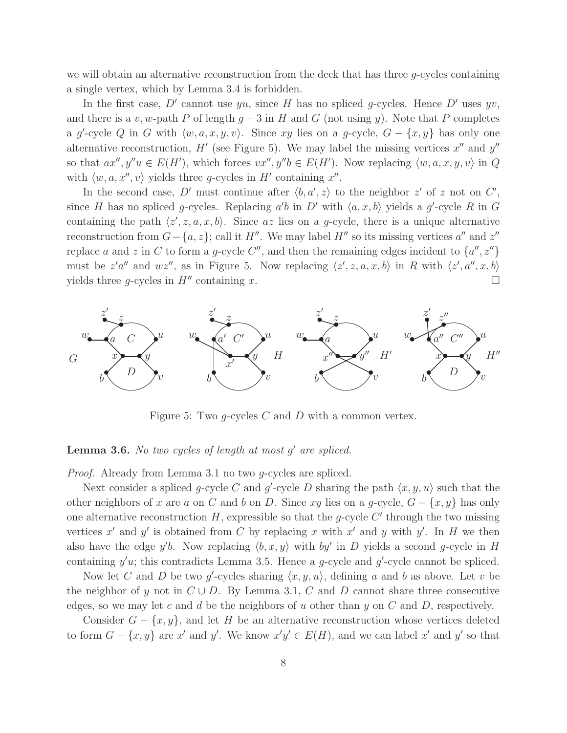we will obtain an alternative reconstruction from the deck that has three  $g$ -cycles containing a single vertex, which by Lemma 3.4 is forbidden.

In the first case, D' cannot use yu, since H has no spliced g-cycles. Hence D' uses yv, and there is a v, w-path P of length  $g - 3$  in H and G (not using y). Note that P completes a g'-cycle Q in G with  $\langle w, a, x, y, v \rangle$ . Since xy lies on a g-cycle,  $G - \{x, y\}$  has only one alternative reconstruction,  $H'$  (see Figure 5). We may label the missing vertices  $x''$  and  $y''$ so that  $ax'', y''u \in E(H')$ , which forces  $vx'', y''b \in E(H')$ . Now replacing  $\langle w, a, x, y, v \rangle$  in Q with  $\langle w, a, x'', v \rangle$  yields three g-cycles in H' containing  $x''$ .

In the second case, D' must continue after  $\langle b, a', z \rangle$  to the neighbor z' of z not on C', since H has no spliced g-cycles. Replacing  $a'b$  in D' with  $\langle a, x, b \rangle$  yields a g'-cycle R in G containing the path  $\langle z', z, a, x, b \rangle$ . Since az lies on a g-cycle, there is a unique alternative reconstruction from  $G - \{a, z\}$ ; call it  $H''$ . We may label  $H''$  so its missing vertices  $a''$  and  $z''$ replace a and z in C to form a g-cycle C'', and then the remaining edges incident to  $\{a'', z''\}$ must be  $z'a''$  and  $wz''$ , as in Figure 5. Now replacing  $\langle z', z, a, x, b \rangle$  in R with  $\langle z', a'', x, b \rangle$ yields three q-cycles in  $H''$  containing x.



Figure 5: Two  $q$ -cycles C and D with a common vertex.

## **Lemma 3.6.** No two cycles of length at most  $g'$  are spliced.

Proof. Already from Lemma 3.1 no two g-cycles are spliced.

Next consider a spliced g-cycle C and g'-cycle D sharing the path  $\langle x, y, u \rangle$  such that the other neighbors of x are a on C and b on D. Since xy lies on a g-cycle,  $G - \{x, y\}$  has only one alternative reconstruction  $H$ , expressible so that the g-cycle  $C'$  through the two missing vertices x' and y' is obtained from C by replacing x with x' and y with y'. In H we then also have the edge y'b. Now replacing  $\langle b, x, y \rangle$  with by' in D yields a second g-cycle in H containing  $y'u$ ; this contradicts Lemma 3.5. Hence a g-cycle and  $g'$ -cycle cannot be spliced.

Now let C and D be two g'-cycles sharing  $\langle x, y, u \rangle$ , defining a and b as above. Let v be the neighbor of y not in  $C \cup D$ . By Lemma 3.1, C and D cannot share three consecutive edges, so we may let c and d be the neighbors of u other than y on C and D, respectively.

Consider  $G - \{x, y\}$ , and let H be an alternative reconstruction whose vertices deleted to form  $G - \{x, y\}$  are x' and y'. We know  $x'y' \in E(H)$ , and we can label x' and y' so that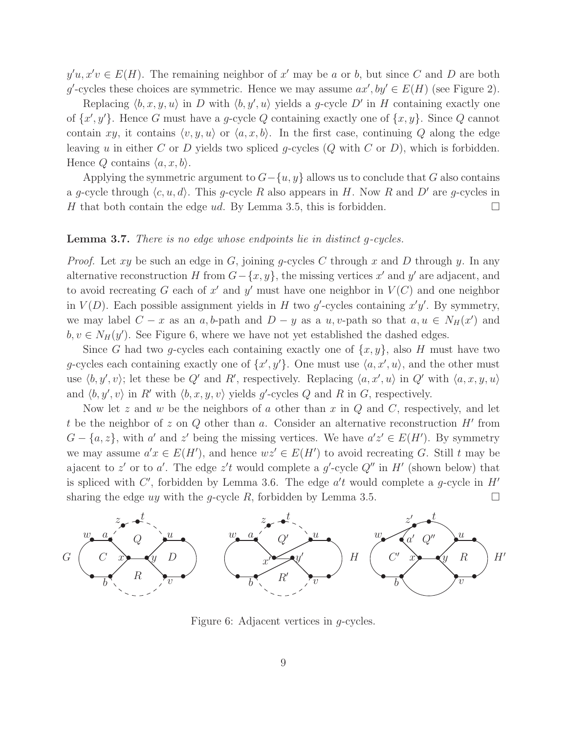$y'u, x'v \in E(H)$ . The remaining neighbor of x' may be a or b, but since C and D are both g'-cycles these choices are symmetric. Hence we may assume  $ax', by' \in E(H)$  (see Figure 2).

Replacing  $\langle b, x, y, u \rangle$  in D with  $\langle b, y', u \rangle$  yields a g-cycle D' in H containing exactly one of  $\{x', y'\}$ . Hence G must have a g-cycle Q containing exactly one of  $\{x, y\}$ . Since Q cannot contain xy, it contains  $\langle v, y, u \rangle$  or  $\langle a, x, b \rangle$ . In the first case, continuing Q along the edge leaving u in either C or D yields two spliced g-cycles  $(Q \text{ with } C \text{ or } D)$ , which is forbidden. Hence Q contains  $\langle a, x, b \rangle$ .

Applying the symmetric argument to  $G - \{u, y\}$  allows us to conclude that G also contains a g-cycle through  $\langle c, u, d \rangle$ . This g-cycle R also appears in H. Now R and D' are g-cycles in H that both contain the edge ud. By Lemma 3.5, this is forbidden.

#### Lemma 3.7. There is no edge whose endpoints lie in distinct q-cycles.

*Proof.* Let xy be such an edge in G, joining q-cycles C through x and D through y. In any alternative reconstruction H from  $G - \{x, y\}$ , the missing vertices x' and y' are adjacent, and to avoid recreating G each of  $x'$  and  $y'$  must have one neighbor in  $V(C)$  and one neighbor in  $V(D)$ . Each possible assignment yields in H two g'-cycles containing  $x'y'$ . By symmetry, we may label  $C - x$  as an a, b-path and  $D - y$  as a u, v-path so that  $a, u \in N_H(x')$  and  $b, v \in N_H(y')$ . See Figure 6, where we have not yet established the dashed edges.

Since G had two g-cycles each containing exactly one of  $\{x, y\}$ , also H must have two g-cycles each containing exactly one of  $\{x', y'\}$ . One must use  $\langle a, x', u \rangle$ , and the other must use  $\langle b, y', v \rangle$ ; let these be Q' and R', respectively. Replacing  $\langle a, x', u \rangle$  in Q' with  $\langle a, x, y, u \rangle$ and  $\langle b, y', v \rangle$  in R' with  $\langle b, x, y, v \rangle$  yields g'-cycles Q and R in G, respectively.

Now let z and w be the neighbors of a other than x in  $Q$  and  $C$ , respectively, and let t be the neighbor of z on  $Q$  other than  $a$ . Consider an alternative reconstruction  $H'$  from  $G - \{a, z\}$ , with a' and z' being the missing vertices. We have  $a'z' \in E(H')$ . By symmetry we may assume  $a'x \in E(H')$ , and hence  $wz' \in E(H')$  to avoid recreating G. Still t may be ajacent to z' or to a'. The edge z't would complete a g'-cycle  $Q''$  in H' (shown below) that is spliced with C', forbidden by Lemma 3.6. The edge  $a't$  would complete a g-cycle in  $H'$ sharing the edge uy with the g-cycle R, forbidden by Lemma 3.5.



Figure 6: Adjacent vertices in g-cycles.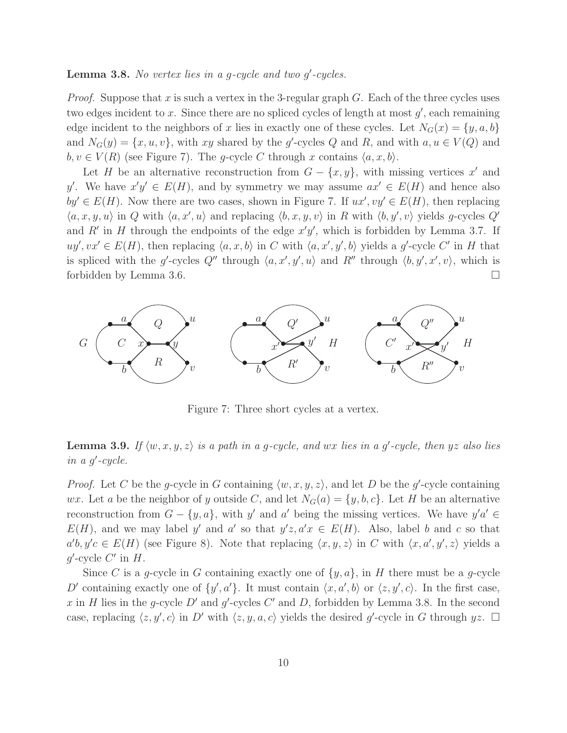## **Lemma 3.8.** No vertex lies in a g-cycle and two  $g'$ -cycles.

*Proof.* Suppose that x is such a vertex in the 3-regular graph  $G$ . Each of the three cycles uses two edges incident to x. Since there are no spliced cycles of length at most  $g'$ , each remaining edge incident to the neighbors of x lies in exactly one of these cycles. Let  $N_G(x) = \{y, a, b\}$ and  $N_G(y) = \{x, u, v\}$ , with xy shared by the g'-cycles Q and R, and with  $a, u \in V(Q)$  and  $b, v \in V(R)$  (see Figure 7). The g-cycle C through x contains  $\langle a, x, b \rangle$ .

Let H be an alternative reconstruction from  $G - \{x, y\}$ , with missing vertices x' and y'. We have  $x'y' \in E(H)$ , and by symmetry we may assume  $ax' \in E(H)$  and hence also  $by' \in E(H)$ . Now there are two cases, shown in Figure 7. If  $ux', vy' \in E(H)$ , then replacing  $\langle a, x, y, u \rangle$  in Q with  $\langle a, x', u \rangle$  and replacing  $\langle b, x, y, v \rangle$  in R with  $\langle b, y', v \rangle$  yields g-cycles Q' and R' in H through the endpoints of the edge  $x'y'$ , which is forbidden by Lemma 3.7. If  $uy', vx' \in E(H)$ , then replacing  $\langle a, x, b \rangle$  in C with  $\langle a, x', y', b \rangle$  yields a g'-cycle C' in H that is spliced with the g'-cycles Q'' through  $\langle a, x', y', u \rangle$  and R'' through  $\langle b, y', x', v \rangle$ , which is forbidden by Lemma 3.6.



Figure 7: Three short cycles at a vertex.

**Lemma 3.9.** If  $\langle w, x, y, z \rangle$  is a path in a g-cycle, and wx lies in a g'-cycle, then yz also lies in a g'-cycle.

*Proof.* Let C be the g-cycle in G containing  $\langle w, x, y, z \rangle$ , and let D be the g'-cycle containing wx. Let a be the neighbor of y outside C, and let  $N_G(a) = \{y, b, c\}$ . Let H be an alternative reconstruction from  $G - \{y, a\}$ , with y' and a' being the missing vertices. We have  $y'a' \in$  $E(H)$ , and we may label y' and a' so that  $y'z, a'x \in E(H)$ . Also, label b and c so that  $a'b, y'c \in E(H)$  (see Figure 8). Note that replacing  $\langle x, y, z \rangle$  in C with  $\langle x, a', y', z \rangle$  yields a  $g'$ -cycle  $C'$  in  $H$ .

Since C is a g-cycle in G containing exactly one of  $\{y, a\}$ , in H there must be a g-cycle D' containing exactly one of  $\{y', a'\}$ . It must contain  $\langle x, a', b \rangle$  or  $\langle z, y', c \rangle$ . In the first case, x in H lies in the g-cycle  $D'$  and  $g'$ -cycles  $C'$  and D, forbidden by Lemma 3.8. In the second case, replacing  $\langle z, y', c \rangle$  in D' with  $\langle z, y, a, c \rangle$  yields the desired g'-cycle in G through  $yz$ .  $\Box$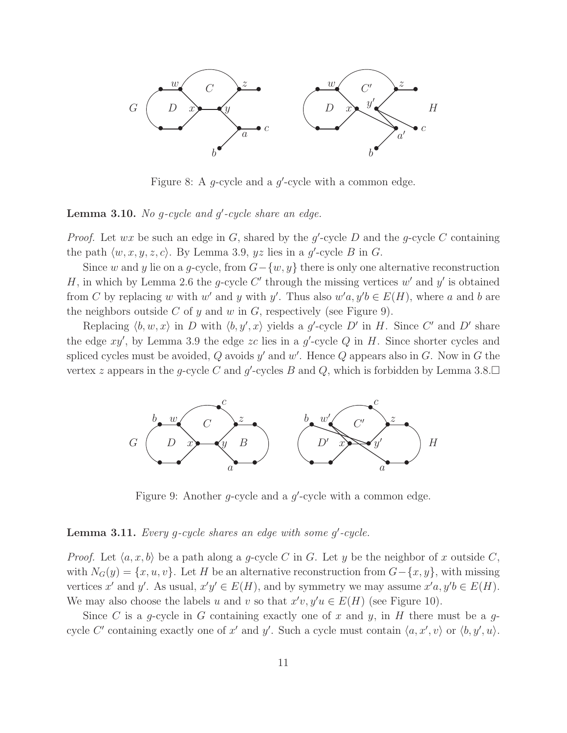

Figure 8: A  $g$ -cycle and a  $g'$ -cycle with a common edge.

## **Lemma 3.10.** No g-cycle and  $g'$ -cycle share an edge.

*Proof.* Let  $wx$  be such an edge in  $G$ , shared by the  $g$ -cycle  $D$  and the  $g$ -cycle  $C$  containing the path  $\langle w, x, y, z, c \rangle$ . By Lemma 3.9, yz lies in a g'-cycle B in G.

Since w and y lie on a g-cycle, from  $G - \{w, y\}$  there is only one alternative reconstruction H, in which by Lemma 2.6 the g-cycle C' through the missing vertices  $w'$  and  $y'$  is obtained from C by replacing w with w' and y with y'. Thus also  $w'a, y'b \in E(H)$ , where a and b are the neighbors outside C of y and w in G, respectively (see Figure 9).

Replacing  $\langle b, w, x \rangle$  in D with  $\langle b, y', x \rangle$  yields a g'-cycle D' in H. Since C' and D' share the edge  $xy'$ , by Lemma 3.9 the edge zc lies in a  $g'$ -cycle  $Q$  in  $H$ . Since shorter cycles and spliced cycles must be avoided,  $Q$  avoids  $y'$  and  $w'$ . Hence  $Q$  appears also in  $G$ . Now in  $G$  the vertex z appears in the g-cycle C and g'-cycles B and Q, which is forbidden by Lemma 3.8. $\Box$ 



Figure 9: Another  $g$ -cycle and a  $g'$ -cycle with a common edge.

## **Lemma 3.11.** Every g-cycle shares an edge with some  $g'$ -cycle.

*Proof.* Let  $\langle a, x, b \rangle$  be a path along a g-cycle C in G. Let y be the neighbor of x outside C, with  $N_G(y) = \{x, u, v\}$ . Let H be an alternative reconstruction from  $G - \{x, y\}$ , with missing vertices x' and y'. As usual,  $x'y' \in E(H)$ , and by symmetry we may assume  $x'a, y'b \in E(H)$ . We may also choose the labels u and v so that  $x'v, y'u \in E(H)$  (see Figure 10).

Since C is a q-cycle in G containing exactly one of x and y, in H there must be a qcycle C' containing exactly one of x' and y'. Such a cycle must contain  $\langle a, x', v \rangle$  or  $\langle b, y', u \rangle$ .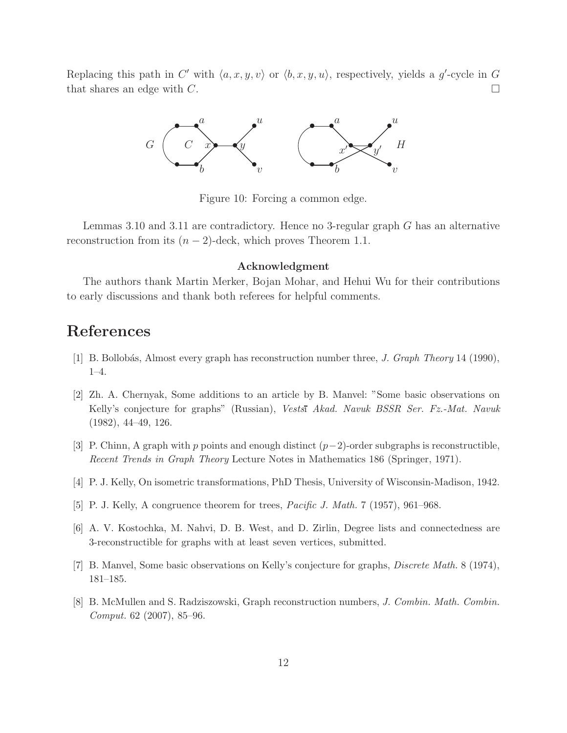Replacing this path in C' with  $\langle a, x, y, v \rangle$  or  $\langle b, x, y, u \rangle$ , respectively, yields a g'-cycle in G that shares an edge with C.



Figure 10: Forcing a common edge.

Lemmas 3.10 and 3.11 are contradictory. Hence no 3-regular graph G has an alternative reconstruction from its  $(n-2)$ -deck, which proves Theorem 1.1.

#### Acknowledgment

The authors thank Martin Merker, Bojan Mohar, and Hehui Wu for their contributions to early discussions and thank both referees for helpful comments.

## References

- [1] B. Bollob´as, Almost every graph has reconstruction number three, J. Graph Theory 14 (1990), 1–4.
- [2] Zh. A. Chernyak, Some additions to an article by B. Manvel: "Some basic observations on Kelly's conjecture for graphs" (Russian), Vestsi Akad. Navuk BSSR Ser. Fz.-Mat. Navuk (1982), 44–49, 126.
- [3] P. Chinn, A graph with p points and enough distinct  $(p-2)$ -order subgraphs is reconstructible, Recent Trends in Graph Theory Lecture Notes in Mathematics 186 (Springer, 1971).
- [4] P. J. Kelly, On isometric transformations, PhD Thesis, University of Wisconsin-Madison, 1942.
- [5] P. J. Kelly, A congruence theorem for trees, Pacific J. Math. 7 (1957), 961–968.
- [6] A. V. Kostochka, M. Nahvi, D. B. West, and D. Zirlin, Degree lists and connectedness are 3-reconstructible for graphs with at least seven vertices, submitted.
- [7] B. Manvel, Some basic observations on Kelly's conjecture for graphs, Discrete Math. 8 (1974), 181–185.
- [8] B. McMullen and S. Radziszowski, Graph reconstruction numbers, J. Combin. Math. Combin. Comput. 62 (2007), 85–96.